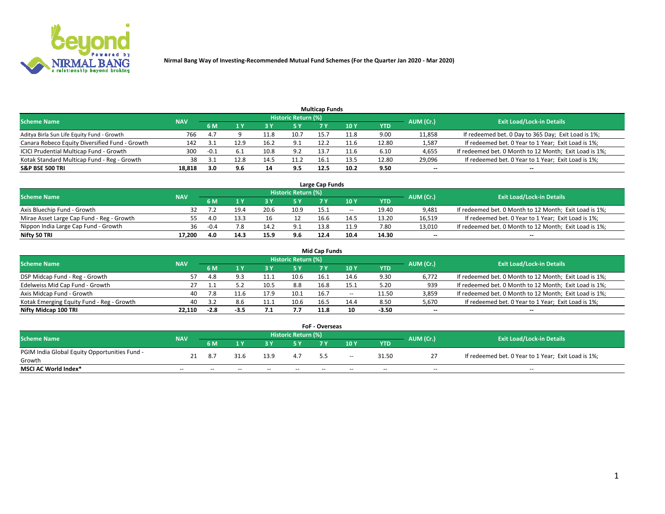

|                                                |            |        |      |      |                     | <b>Multicap Funds</b> |      |       |           |                                                        |
|------------------------------------------------|------------|--------|------|------|---------------------|-----------------------|------|-------|-----------|--------------------------------------------------------|
| <b>Scheme Name</b>                             | <b>NAV</b> |        |      |      | Historic Return (%) |                       |      |       | AUM (Cr.) | <b>Exit Load/Lock-in Details</b>                       |
|                                                |            | 6 M    |      |      | 5 Y                 |                       | 10 Y | YTD   |           |                                                        |
| Aditya Birla Sun Life Equity Fund - Growth     | 766        | 4.7    |      | 11.8 | 10.7                | 15.                   | 11.8 | 9.00  | 11,858    | If redeemed bet. 0 Day to 365 Day; Exit Load is 1%;    |
| Canara Robeco Equity Diversified Fund - Growth | 142        |        | 12.9 | 16.2 | 9.1                 | 12.2                  | 11.6 | 12.80 | 1,587     | If redeemed bet. 0 Year to 1 Year; Exit Load is 1%;    |
| ICICI Prudential Multicap Fund - Growth        | 300        | $-0.1$ |      | 10.8 | 9.2                 | 13.                   | 11.6 | 6.10  | 4,655     | If redeemed bet. 0 Month to 12 Month; Exit Load is 1%; |
| Kotak Standard Multicap Fund - Reg - Growth    | 38         |        | 12.8 | 14.5 | 11.2                | 16.1                  | 13.5 | 12.80 | 29,096    | If redeemed bet. 0 Year to 1 Year; Exit Load is 1%;    |
| <b>S&amp;P BSE 500 TRI</b>                     | 18.818     | 3.0    | 9.6  | 14   | 9.5                 | 12.5                  | 10.2 | 9.50  | $- -$     | $-$                                                    |

| Large Cap Funds                           |            |           |                                  |      |      |      |       |       |        |                                                        |  |  |  |  |
|-------------------------------------------|------------|-----------|----------------------------------|------|------|------|-------|-------|--------|--------------------------------------------------------|--|--|--|--|
| Scheme Name                               | <b>NAV</b> | AUM (Cr.) | <b>Exit Load/Lock-in Details</b> |      |      |      |       |       |        |                                                        |  |  |  |  |
|                                           |            | 6 M       |                                  |      | 5 Y  | 7 Y  | 10Y   | YTD   |        |                                                        |  |  |  |  |
| Axis Bluechip Fund - Growth               |            |           | 19.4                             | 20.6 | 10.9 | 15.1 | $- -$ | 19.40 | 9,481  | If redeemed bet. 0 Month to 12 Month; Exit Load is 1%; |  |  |  |  |
| Mirae Asset Large Cap Fund - Reg - Growth | 55.        | 4.0       | 13.3                             |      |      | 16.6 | 14.5  | 13.20 | 16,519 | If redeemed bet. 0 Year to 1 Year; Exit Load is 1%;    |  |  |  |  |
| Nippon India Large Cap Fund - Growth      | 36         | $-0.4$    |                                  |      | 9.1  | 13.8 | 11.9  | 7.80  | 13,010 | If redeemed bet. 0 Month to 12 Month; Exit Load is 1%; |  |  |  |  |
| Nifty 50 TRI                              | 17.200     | 4.0       |                                  | 15.9 | 9.6  | 12.4 | 10.4  | 14.30 | $\sim$ | $-$                                                    |  |  |  |  |

|                                           |            |        |      |      |                     | <b>Mid Cap Funds</b> |       |            |           |                                                        |
|-------------------------------------------|------------|--------|------|------|---------------------|----------------------|-------|------------|-----------|--------------------------------------------------------|
| <b>Scheme Name</b>                        | <b>NAV</b> |        |      |      | Historic Return (%) |                      |       |            | AUM (Cr.) | <b>Exit Load/Lock-in Details</b>                       |
|                                           |            | 6 M    |      |      | 5 Y                 |                      | 10 Y  | <b>YTD</b> |           |                                                        |
| DSP Midcap Fund - Reg - Growth            | 57         | 4.8    |      |      | 10.6                | 16.1                 | 14.6  | 9.30       | 6,772     | If redeemed bet. 0 Month to 12 Month; Exit Load is 1%; |
| Edelweiss Mid Cap Fund - Growth           |            |        |      | 10.5 | 8.8                 | 16.8                 | 15.1  | 5.20       | 939       | If redeemed bet. 0 Month to 12 Month; Exit Load is 1%; |
| Axis Midcap Fund - Growth                 | 40         |        |      | 17.9 | 10.1                | 16.7                 | $- -$ | 11.50      | 3,859     | If redeemed bet. 0 Month to 12 Month; Exit Load is 1%; |
| Kotak Emerging Equity Fund - Reg - Growth | 40         |        | 8.6  | 11.1 | 10.6                | 16.5                 | 14.4  | 8.50       | 5,670     | If redeemed bet. 0 Year to 1 Year; Exit Load is 1%;    |
| Nifty Midcap 100 TRI                      | 22.110     | $-2.8$ | -3.5 |      | 7.7                 | 11.8                 | 10    | $-3.50$    | $\sim$    | $\sim$                                                 |

| <b>FoF - Overseas</b>                         |            |                                         |       |       |       |     |        |            |                                  |                                                     |  |  |  |
|-----------------------------------------------|------------|-----------------------------------------|-------|-------|-------|-----|--------|------------|----------------------------------|-----------------------------------------------------|--|--|--|
| <b>Scheme Name</b>                            | <b>NAV</b> | <b>Historic Return (%)</b><br>AUM (Cr.) |       |       |       |     |        |            | <b>Exit Load/Lock-in Details</b> |                                                     |  |  |  |
|                                               |            | 6 M                                     |       |       |       |     | 10Y    | <b>YTD</b> |                                  |                                                     |  |  |  |
| PGIM India Global Equity Opportunities Fund - |            |                                         |       | 13.9  |       | -55 | $\sim$ | 31.50      |                                  | If redeemed bet. 0 Year to 1 Year; Exit Load is 1%; |  |  |  |
| Growth                                        |            |                                         |       |       |       |     |        |            |                                  |                                                     |  |  |  |
| <b>MSCI AC World Index*</b>                   | $- -$      | $- -$                                   | $- -$ | $- -$ | $- -$ | --  | $- -$  | $- -$      | $- -$                            | $- -$                                               |  |  |  |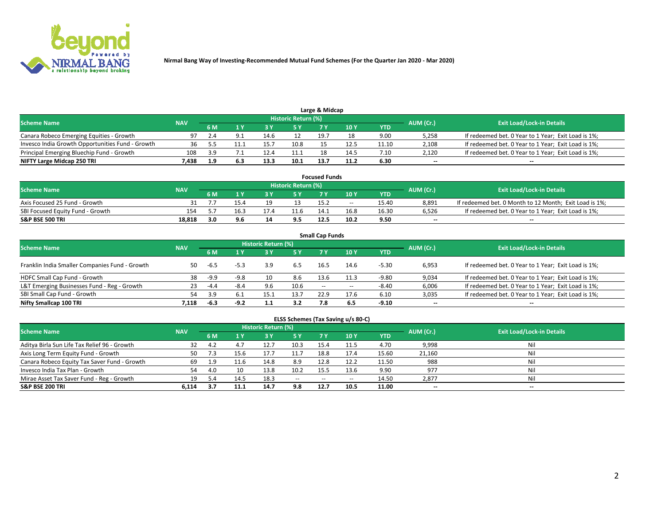

| Large & Midcap                                   |            |     |     |      |                     |      |      |       |           |                                                     |  |  |  |  |
|--------------------------------------------------|------------|-----|-----|------|---------------------|------|------|-------|-----------|-----------------------------------------------------|--|--|--|--|
| <b>Scheme Name</b>                               | <b>NAV</b> |     |     |      | Historic Return (%) |      |      |       | AUM (Cr.) | <b>Exit Load/Lock-in Details</b>                    |  |  |  |  |
|                                                  |            | 6 M |     |      | 5 Y                 |      | 10Y  | YTD   |           |                                                     |  |  |  |  |
| Canara Robeco Emerging Equities - Growth         | 97         |     |     | 14.6 |                     | 19.7 |      | 9.00  | 5,258     | If redeemed bet. 0 Year to 1 Year; Exit Load is 1%; |  |  |  |  |
| Invesco India Growth Opportunities Fund - Growth |            |     |     | 15.  | 10.8                |      | 12.5 | 11.10 | 2,108     | If redeemed bet. 0 Year to 1 Year; Exit Load is 1%; |  |  |  |  |
| Principal Emerging Bluechip Fund - Growth        | 108        | ર વ |     |      | 11.1                |      | 14.5 | 7.10  | 2,120     | If redeemed bet. 0 Year to 1 Year; Exit Load is 1%; |  |  |  |  |
| NIFTY Large Midcap 250 TRI                       | 7.438      |     | 6.3 | 13.3 | 10.1                | 13.7 | 11.2 | 6.30  | $\sim$    | $-$                                                 |  |  |  |  |

| <b>Focused Funds</b>             |            |            |      |    |                     |      |       |       |           |                                                        |  |  |  |
|----------------------------------|------------|------------|------|----|---------------------|------|-------|-------|-----------|--------------------------------------------------------|--|--|--|
| <b>Scheme Name</b>               | <b>NAV</b> |            |      |    | Historic Return (%) |      |       |       |           | <b>Exit Load/Lock-in Details</b>                       |  |  |  |
|                                  |            | 6 M        |      |    |                     |      | 10 Y  | YTD   | AUM (Cr.) |                                                        |  |  |  |
| Axis Focused 25 Fund - Growth    |            |            | 15.4 | 10 |                     | 15.2 | $- -$ | 15.40 | 8.891     | If redeemed bet. 0 Month to 12 Month; Exit Load is 1%; |  |  |  |
| SBI Focused Equity Fund - Growth |            |            | 16.3 |    |                     | 14.1 | 16.8  | 16.30 | 6.526     | If redeemed bet. 0 Year to 1 Year; Exit Load is 1%;    |  |  |  |
| <b>S&amp;P BSE 500 TRI</b>       | 18.818     | <b>3 U</b> | 9.6  | 14 | 9.5                 | 12.5 | 10.2  | 9.50  | $\sim$    | $- -$                                                  |  |  |  |

| <b>Small Cap Funds</b>                         |            |        |        |                     |           |                          |                 |            |                          |                                                     |  |  |  |  |
|------------------------------------------------|------------|--------|--------|---------------------|-----------|--------------------------|-----------------|------------|--------------------------|-----------------------------------------------------|--|--|--|--|
| <b>Scheme Name</b>                             | <b>NAV</b> |        |        | Historic Return (%) |           |                          |                 |            |                          | <b>Exit Load/Lock-in Details</b>                    |  |  |  |  |
|                                                |            | 6 M    |        |                     | <b>5Y</b> | <b>7 Y</b>               | 10 <sub>Y</sub> | <b>YTD</b> | AUM (Cr.)                |                                                     |  |  |  |  |
| Franklin India Smaller Companies Fund - Growth | 50         | -ხ.5   |        | 3.9                 | 6.5       | 16.5                     | 14.6            | $-5.30$    | 6,953                    | If redeemed bet. 0 Year to 1 Year; Exit Load is 1%; |  |  |  |  |
| HDFC Small Cap Fund - Growth                   | 38         | $-9.9$ | $-9.8$ |                     | 8.6       | 13.6                     | 11.3            | $-9.80$    | 9,034                    | If redeemed bet. 0 Year to 1 Year; Exit Load is 1%; |  |  |  |  |
| L&T Emerging Businesses Fund - Reg - Growth    | 23         | $-4.4$ | -8.4   | 9.6                 | 10.6      | $\overline{\phantom{a}}$ | $- -$           | $-8.40$    | 6,006                    | If redeemed bet. 0 Year to 1 Year; Exit Load is 1%; |  |  |  |  |
| SBI Small Cap Fund - Growth                    | 54         | 3.9    | 6.1    | 15.1                | 13.7      | 22.9                     | 17.6            | 6.10       | 3,035                    | If redeemed bet. 0 Year to 1 Year; Exit Load is 1%; |  |  |  |  |
| Nifty Smallcap 100 TRI                         | 7.118      | -6.3   | $-9.2$ |                     | 3.2       | 7.8                      | 6.5             | $-9.10$    | $\overline{\phantom{a}}$ | $\overline{\phantom{a}}$                            |  |  |  |  |

## **ELSS Schemes (Tax Saving u/s 80-C)**

| <b>Scheme Name</b>                           | <b>NAV</b> |     |      | <b>Historic Return (%)</b> |           |      |      |       | AUM (Cr.) | <b>Exit Load/Lock-in Details</b> |
|----------------------------------------------|------------|-----|------|----------------------------|-----------|------|------|-------|-----------|----------------------------------|
|                                              |            | 6 M | 1 Y  | 3 Y                        | <b>5Y</b> | 7 Y  | 10Y  | YTD   |           |                                  |
| Aditya Birla Sun Life Tax Relief 96 - Growth | 32         | 4.2 | 4.7  | 12.7                       | 10.3      | 15.4 |      | 4.70  | 9,998     | Nil                              |
| Axis Long Term Equity Fund - Growth          | 50         |     | 15.6 | 17.7                       | 11.7      | 18.8 | 17.4 | 15.60 | 21,160    | Nil                              |
| Canara Robeco Equity Tax Saver Fund - Growth | 69         | 1.9 | 11.6 | 14.8                       | 8.9       | 12.8 | 12.2 | 11.50 | 988       | Nil                              |
| Invesco India Tax Plan - Growth              | 54         | 4.0 | 10   | 13.8                       | 10.2      | 15.5 | 13.6 | 9.90  | 977       | Nil                              |
| Mirae Asset Tax Saver Fund - Reg - Growth    | 19         |     | 14.5 | 18.3                       | $- -$     | --   | --   | 14.50 | 2,877     | Nil                              |
| S&P BSE 200 TRI                              | 6.114      |     | 11.1 | 14.7                       | 9.8       | 12.7 | 10.5 | 11.00 | $\sim$    | $- -$                            |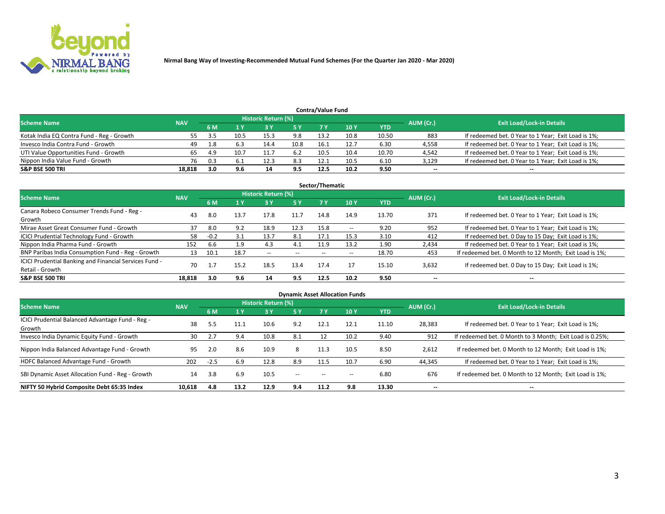

| <b>Contra/Value Fund</b><br>Historic Return (%) |            |     |      |      |      |      |      |       |           |                                                     |  |  |  |
|-------------------------------------------------|------------|-----|------|------|------|------|------|-------|-----------|-----------------------------------------------------|--|--|--|
| <b>Scheme Name</b>                              | <b>NAV</b> | 6 M |      |      | 5 Y  | 7 Y  | 10Y  | YTD   | AUM (Cr.) | <b>Exit Load/Lock-in Details</b>                    |  |  |  |
| Kotak India EQ Contra Fund - Reg - Growth       |            |     | 10.5 | 15.3 | 9.8  | 13.2 | 10.8 | 10.50 | 883       | If redeemed bet. 0 Year to 1 Year; Exit Load is 1%; |  |  |  |
| Invesco India Contra Fund - Growth              | 49         | 1.8 |      | 14.4 | 10.8 |      | 12.7 | 6.30  | 4,558     | If redeemed bet. 0 Year to 1 Year; Exit Load is 1%; |  |  |  |
| UTI Value Opportunities Fund - Growth           | 65         | 4.9 | 10.7 | .    | 6.2  | 10.5 | 10.4 | 10.70 | 4,542     | If redeemed bet. 0 Year to 1 Year; Exit Load is 1%; |  |  |  |
| Nippon India Value Fund - Growth                | 76         | 0.3 |      |      | 8.3  | 12.1 | 10.5 | 6.10  | 3,129     | If redeemed bet. 0 Year to 1 Year; Exit Load is 1%; |  |  |  |
| <b>S&amp;P BSE 500 TRI</b>                      | 18,818     | 3.0 | 9.6  | 14   | 9.5  | 12.5 | 10.2 | 9.50  | $\sim$    | $- -$                                               |  |  |  |

|                                                                           |            |        |      |                     |           | Sector/Thematic |                          |            |                          |                                                        |
|---------------------------------------------------------------------------|------------|--------|------|---------------------|-----------|-----------------|--------------------------|------------|--------------------------|--------------------------------------------------------|
| <b>Scheme Name</b>                                                        | <b>NAV</b> |        |      | Historic Return (%) |           |                 |                          |            | AUM (Cr.)                | <b>Exit Load/Lock-in Details</b>                       |
|                                                                           |            | 6 M    | 1 Y  | 73 Y                | <b>5Y</b> | 7 Y             | 10Y                      | <b>YTD</b> |                          |                                                        |
| Canara Robeco Consumer Trends Fund - Reg -<br>Growth                      | 43         | 8.0    | 13.7 | 17.8                | 11.7      | 14.8            | 14.9                     | 13.70      | 371                      | If redeemed bet. 0 Year to 1 Year; Exit Load is 1%;    |
| Mirae Asset Great Consumer Fund - Growth                                  | 37         | 8.0    | 9.2  | 18.9                | 12.3      | 15.8            | $\overline{\phantom{a}}$ | 9.20       | 952                      | If redeemed bet. 0 Year to 1 Year; Exit Load is 1%;    |
| ICICI Prudential Technology Fund - Growth                                 | 58         | $-0.2$ | 3.1  | 13.7                | 8.1       | 17.1            | 15.3                     | 3.10       | 412                      | If redeemed bet. 0 Day to 15 Day; Exit Load is 1%;     |
| Nippon India Pharma Fund - Growth                                         | 152        | 6.6    | 1.9  | 4.3                 | 4.1       | 11.9            | 13.2                     | 1.90       | 2,434                    | If redeemed bet. 0 Year to 1 Year; Exit Load is 1%;    |
| BNP Paribas India Consumption Fund - Reg - Growth                         | 13         | 10.1   | 18.7 | $\sim$              | $- -$     | $- -$           | $- -$                    | 18.70      | 453                      | If redeemed bet. 0 Month to 12 Month; Exit Load is 1%; |
| ICICI Prudential Banking and Financial Services Fund -<br>Retail - Growth | 70         | 1.7    | 15.2 | 18.5                | 13.4      | 17.4            | 17                       | 15.10      | 3,632                    | If redeemed bet. 0 Day to 15 Day; Exit Load is 1%;     |
| <b>S&amp;P BSE 500 TRI</b>                                                | 18.818     | 3.0    | 9.6  | 14                  | 9.5       | 12.5            | 10.2                     | 9.50       | $\overline{\phantom{a}}$ | $- -$                                                  |

|                                                            |            |        |      |                     |               |           | <b>Dynamic Asset Allocation Funds</b> |            |                          |                                                          |
|------------------------------------------------------------|------------|--------|------|---------------------|---------------|-----------|---------------------------------------|------------|--------------------------|----------------------------------------------------------|
| <b>Scheme Name</b>                                         | <b>NAV</b> |        |      | Historic Return (%) |               |           |                                       |            | AUM (Cr.)                | <b>Exit Load/Lock-in Details</b>                         |
|                                                            |            | 6 M    |      | 73 Y                | 5 Y           | <b>7Y</b> | 10Y                                   | <b>YTD</b> |                          |                                                          |
| ICICI Prudential Balanced Advantage Fund - Reg -<br>Growth | 38         | 5.5    | 11.1 | 10.6                | 9.2           | 12.1      | 12.1                                  | 11.10      | 28,383                   | If redeemed bet. 0 Year to 1 Year; Exit Load is 1%;      |
| Invesco India Dynamic Equity Fund - Growth                 | 30         | 2.7    | 9.4  | 10.8                | 8.1           | 12        | 10.2                                  | 9.40       | 912                      | If redeemed bet. 0 Month to 3 Month; Exit Load is 0.25%; |
| Nippon India Balanced Advantage Fund - Growth              | 95         | 2.0    | 8.6  | 10.9                | 8             | 11.3      | 10.5                                  | 8.50       | 2,612                    | If redeemed bet. 0 Month to 12 Month; Exit Load is 1%;   |
| HDFC Balanced Advantage Fund - Growth                      | 202        | $-2.5$ | 6.9  | 12.8                | 8.9           | 11.5      | 10.7                                  | 6.90       | 44,345                   | If redeemed bet. 0 Year to 1 Year; Exit Load is 1%;      |
| SBI Dynamic Asset Allocation Fund - Reg - Growth           | 14         | 3.8    | 6.9  | 10.5                | $\sim$ $\sim$ | $- -$     | --                                    | 6.80       | 676                      | If redeemed bet. 0 Month to 12 Month; Exit Load is 1%;   |
| NIFTY 50 Hybrid Composite Debt 65:35 Index                 | 10,618     | 4.8    | 13.2 | 12.9                | 9.4           | 11.2      | 9.8                                   | 13.30      | $\overline{\phantom{a}}$ | $- -$                                                    |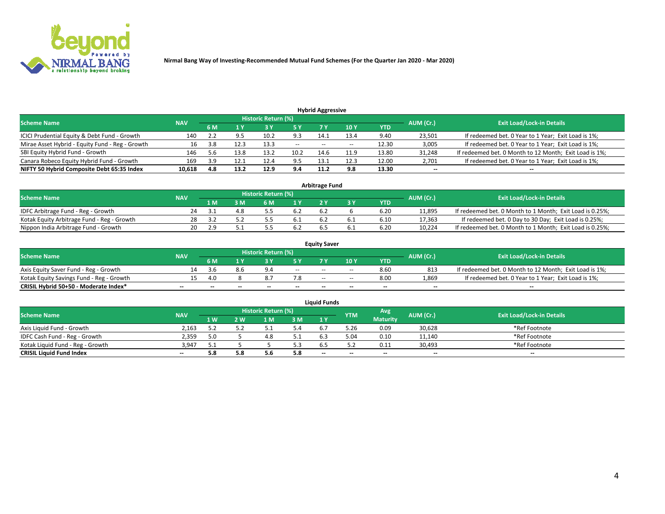

| <b>Hybrid Aggressive</b>                        |            |     |      |                            |        |                          |       |       |                          |                                                        |  |  |  |  |
|-------------------------------------------------|------------|-----|------|----------------------------|--------|--------------------------|-------|-------|--------------------------|--------------------------------------------------------|--|--|--|--|
| <b>Scheme Name</b>                              | <b>NAV</b> |     |      | <b>Historic Return (%)</b> |        |                          |       |       | AUM (Cr.)                | <b>Exit Load/Lock-in Details</b>                       |  |  |  |  |
|                                                 |            | 6 M |      |                            |        |                          | 10Y   | YTD   |                          |                                                        |  |  |  |  |
| ICICI Prudential Equity & Debt Fund - Growth    | 140        |     |      | 10.2                       | 9.3    | 14.1                     | 13.4  | 9.40  | 23,501                   | If redeemed bet. 0 Year to 1 Year; Exit Load is 1%;    |  |  |  |  |
| Mirae Asset Hybrid - Equity Fund - Reg - Growth | 16         | 3.8 | 12.3 | 13.3                       | $\sim$ | $\overline{\phantom{a}}$ | $- -$ | 12.30 | 3,005                    | If redeemed bet. 0 Year to 1 Year; Exit Load is 1%;    |  |  |  |  |
| SBI Equity Hybrid Fund - Growth                 | 146        |     | 13.8 | 13.2                       | 10.2   | 14.6                     | 11.9  | 13.80 | 31,248                   | If redeemed bet. 0 Month to 12 Month; Exit Load is 1%; |  |  |  |  |
| Canara Robeco Equity Hybrid Fund - Growth       | 169        | 3.9 | 12.1 | 12.4                       | 9.5    | 13.1                     | 12.3  | 12.00 | 2,701                    | If redeemed bet. 0 Year to 1 Year; Exit Load is 1%;    |  |  |  |  |
| NIFTY 50 Hybrid Composite Debt 65:35 Index      | 10,618     | 4.8 | 13.2 | 12.9                       | 9.4    | 11.2                     | 9.8   | 13.30 | $\overline{\phantom{a}}$ | $- -$                                                  |  |  |  |  |

|                                            |            |                                  |    |     |      | <b>Arbitrage Fund</b> |      |        |                                                          |
|--------------------------------------------|------------|----------------------------------|----|-----|------|-----------------------|------|--------|----------------------------------------------------------|
| Scheme Name                                | AUM (Cr.)  | <b>Exit Load/Lock-in Details</b> |    |     |      |                       |      |        |                                                          |
|                                            | <b>NAV</b> | 1 M                              | ßΜ | 6 M |      |                       | YTD  |        |                                                          |
| IDFC Arbitrage Fund - Reg - Growth         | 24         |                                  |    |     | 6.2  | 6.2                   | 6.20 | 11,895 | If redeemed bet. 0 Month to 1 Month; Exit Load is 0.25%; |
| Kotak Equity Arbitrage Fund - Reg - Growth | 28         |                                  |    |     | -6.1 |                       | 6.10 | 17,363 | If redeemed bet. 0 Day to 30 Day; Exit Load is 0.25%;    |
| Nippon India Arbitrage Fund - Growth       | 20         | ם כ                              |    |     | 6.2  |                       | 6.20 | 10.224 | If redeemed bet. 0 Month to 1 Month; Exit Load is 0.25%; |

|                                          |            |           |                                  |                          |                          | <b>Equity Saver</b> |               |            |                          |                                                        |
|------------------------------------------|------------|-----------|----------------------------------|--------------------------|--------------------------|---------------------|---------------|------------|--------------------------|--------------------------------------------------------|
| Scheme Name                              | <b>NAV</b> | AUM (Cr.) | <b>Exit Load/Lock-in Details</b> |                          |                          |                     |               |            |                          |                                                        |
|                                          |            | 6 M       |                                  |                          | 5 Y                      |                     | $\sqrt{10}$ Y | <b>YTD</b> |                          |                                                        |
| Axis Equity Saver Fund - Reg - Growth    |            | .3.b      | 8.6                              | $Q \Lambda$              | $\sim$                   | $- -$               | $- -$         | 8.60       | 813                      | If redeemed bet. 0 Month to 12 Month; Exit Load is 1%; |
| Kotak Equity Savings Fund - Reg - Growth |            | 4.0       |                                  | O.,                      | 7.8                      | $\sim$ $\sim$       | $- -$         | 8.00       | 1,869                    | If redeemed bet. 0 Year to 1 Year; Exit Load is 1%;    |
| CRISIL Hybrid 50+50 - Moderate Index*    |            | $- -$     | $-$                              | $\overline{\phantom{a}}$ | $\overline{\phantom{a}}$ | $\sim$              | --            | $\sim$     | $\overline{\phantom{a}}$ | $- -$                                                  |

| <b>Liquid Funds</b>              |            |      |     |                            |     |                          |            |                 |           |                                  |  |  |  |  |
|----------------------------------|------------|------|-----|----------------------------|-----|--------------------------|------------|-----------------|-----------|----------------------------------|--|--|--|--|
| Scheme Name                      | <b>NAV</b> |      |     | <b>Historic Return (%)</b> |     |                          | <b>YTM</b> | Avg             | AUM (Cr.) | <b>Exit Load/Lock-in Details</b> |  |  |  |  |
|                                  |            | 1 W. | 2 W | 1 M                        | 3M  | 71 Y                     |            | <b>Maturity</b> |           |                                  |  |  |  |  |
| Axis Liquid Fund - Growth        | 2,163      |      |     |                            | 5.4 |                          | 5.26       | 0.09            | 30,628    | *Ref Footnote                    |  |  |  |  |
| IDFC Cash Fund - Reg - Growth    | 2,359      | 5.0  |     | 4.C                        | 5.1 | 6.3                      | 5.04       | 0.10            | 11,140    | *Ref Footnote                    |  |  |  |  |
| Kotak Liquid Fund - Reg - Growth | 3,947      |      |     |                            | 5.3 |                          |            | 0.11            | 30,493    | *Ref Footnote                    |  |  |  |  |
| <b>CRISIL Liquid Fund Index</b>  | $\sim$     | 5.8  |     |                            | 5.8 | $\overline{\phantom{a}}$ | $-$        | $\sim$          | $\sim$    | $\sim$                           |  |  |  |  |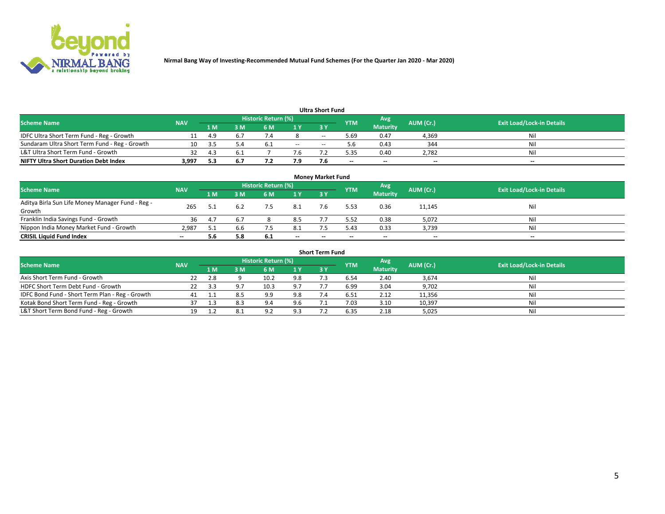

|                                               |            |      |     |                     |       | <b>Ultra Short Fund</b> |            |                 |           |                                  |
|-----------------------------------------------|------------|------|-----|---------------------|-------|-------------------------|------------|-----------------|-----------|----------------------------------|
| <b>Scheme Name</b>                            | <b>NAV</b> |      |     | Historic Return (%) |       |                         | <b>YTM</b> | Avg             | AUM (Cr.) | <b>Exit Load/Lock-in Details</b> |
|                                               |            | 1 M  | 3 M | 6 M                 | 1 Y   | <b>3Y</b>               |            | <b>Maturity</b> |           |                                  |
| IDFC Ultra Short Term Fund - Reg - Growth     |            | -4.9 |     |                     |       | $- -$                   | 5.69       | 0.47            | 4,369     | Nil                              |
| Sundaram Ultra Short Term Fund - Reg - Growth |            |      | 5.4 | -6.1                | $- -$ | --                      |            | 0.43            | 344       | Nil                              |
| L&T Ultra Short Term Fund - Growth            |            | 4.1  |     |                     | 7.6   |                         | -25        | 0.40            | 2,782     | Nil                              |
| <b>NIFTY Ultra Short Duration Debt Index</b>  | 3.997      | -5.3 | 6.7 |                     | 7.9   |                         | $\sim$     | $\sim$          | $\sim$    | $- -$                            |

| <b>Money Market Fund</b>                         |            |     |     |                     |       |    |                          |                 |           |                                  |  |  |  |
|--------------------------------------------------|------------|-----|-----|---------------------|-------|----|--------------------------|-----------------|-----------|----------------------------------|--|--|--|
| <b>Scheme Name</b>                               | <b>NAV</b> |     |     | Historic Return (%) |       |    | <b>YTM</b>               | Avg             | AUM (Cr.) | <b>Exit Load/Lock-in Details</b> |  |  |  |
|                                                  |            | 1 M | 3 M | 6 M                 | 1Y    | 3Y |                          | <b>Maturity</b> |           |                                  |  |  |  |
| Aditya Birla Sun Life Money Manager Fund - Reg - | 265        |     |     | 7.5                 | 8.1   |    | 5.53                     | 0.36            | 11,145    | Nil                              |  |  |  |
| Growth                                           |            |     |     |                     |       |    |                          |                 |           |                                  |  |  |  |
| Franklin India Savings Fund - Growth             | 36         | 4.  |     |                     | 8.5   |    | 5.52                     | 0.38            | 5,072     | Nil                              |  |  |  |
| Nippon India Money Market Fund - Growth          | 2,987      |     | 6.6 |                     | 8.1   |    | 5.43                     | 0.33            | 3,739     | Nil                              |  |  |  |
| <b>CRISIL Liquid Fund Index</b>                  | $- -$      | 5.6 | 5.8 | b.1                 | $- -$ | -- | $\overline{\phantom{a}}$ | $- -$           | $\sim$    | $- -$                            |  |  |  |

| <b>Short Term Fund</b>                          |            |     |     |                     |     |           |            |                 |           |                                  |  |  |  |  |
|-------------------------------------------------|------------|-----|-----|---------------------|-----|-----------|------------|-----------------|-----------|----------------------------------|--|--|--|--|
| <b>Scheme Name</b>                              | <b>NAV</b> |     |     | Historic Return (%) |     |           | <b>YTM</b> | Avg             | AUM (Cr.) | <b>Exit Load/Lock-in Details</b> |  |  |  |  |
|                                                 |            | 1 M | 3 M | 6 M                 | 1Y  | <b>3Y</b> |            | <b>Maturity</b> |           |                                  |  |  |  |  |
| Axis Short Term Fund - Growth                   |            |     |     | 10.2                | 9.8 |           | 6.54       | 2.40            | 3,674     | Nil                              |  |  |  |  |
| HDFC Short Term Debt Fund - Growth              | 22         |     |     | 10.3                | 9.7 |           | 6.99       | 3.04            | 9,702     | Nil                              |  |  |  |  |
| IDFC Bond Fund - Short Term Plan - Reg - Growth | 41         |     |     | 9.9                 | 9.8 |           | 6.51       | 2.12            | 11,356    | Nil                              |  |  |  |  |
| Kotak Bond Short Term Fund - Reg - Growth       |            |     | 8.3 | 9.4                 | 9.6 |           | 7.03       | 3.10            | 10,397    | Nil                              |  |  |  |  |
| L&T Short Term Bond Fund - Reg - Growth         |            |     | 8.1 | Ωſ                  | 9.3 |           | 6.35       | 2.18            | 5,025     | Nil                              |  |  |  |  |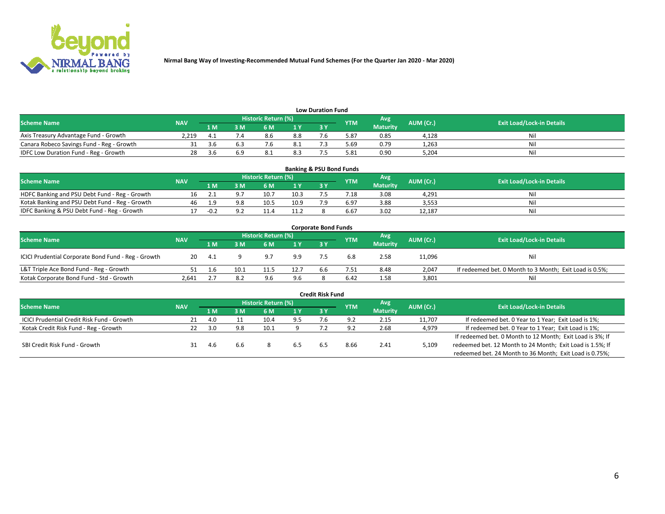

| <b>Low Duration Fund</b>                  |            |       |     |                            |      |  |            |                 |           |                                  |  |  |  |  |
|-------------------------------------------|------------|-------|-----|----------------------------|------|--|------------|-----------------|-----------|----------------------------------|--|--|--|--|
| <b>Scheme Name</b>                        | <b>NAV</b> |       |     | <b>Historic Return (%)</b> |      |  | <b>YTM</b> | Avg             | AUM (Cr.) | <b>Exit Load/Lock-in Details</b> |  |  |  |  |
|                                           |            | 1 M   | ያ M | 5 M                        | 4 V. |  |            | <b>Maturity</b> |           |                                  |  |  |  |  |
| Axis Treasury Advantage Fund - Growth     | 2.219      |       |     | 8.6                        | 8.8  |  | 5.87       | 0.85            | 4,128     | Nil                              |  |  |  |  |
| Canara Robeco Savings Fund - Reg - Growth |            |       |     |                            | 8.1  |  | 5.69       | 0.79            | 1,263     | Nil                              |  |  |  |  |
| IDFC Low Duration Fund - Reg - Growth     |            | - 4 h | 6.9 | 8.1                        | 8.3  |  | 5.81       | 0.90            | 5,204     | Nil                              |  |  |  |  |

| <b>Banking &amp; PSU Bond Funds</b>            |            |     |    |                            |      |           |                 |                 |           |                                  |  |  |  |
|------------------------------------------------|------------|-----|----|----------------------------|------|-----------|-----------------|-----------------|-----------|----------------------------------|--|--|--|
| <b>Scheme Name</b>                             | <b>NAV</b> |     |    | <b>Historic Return (%)</b> |      |           | <b>YTM</b>      | Avg             | AUM (Cr.) | <b>Exit Load/Lock-in Details</b> |  |  |  |
|                                                |            | 1 M | sм | 6 M                        | 71 Y | <b>3Y</b> |                 | <b>Maturity</b> |           |                                  |  |  |  |
| HDFC Banking and PSU Debt Fund - Reg - Growth  |            |     |    | 10.                        | 10.3 |           | $^{\prime}$ .18 | 3.08            | 4.291     | Ni                               |  |  |  |
| Kotak Banking and PSU Debt Fund - Reg - Growth | 46         | c   |    | 10.5                       | 10.9 |           | 6.97            | 3.88            | 3,553     | Ni                               |  |  |  |
| IDFC Banking & PSU Debt Fund - Reg - Growth    |            |     |    |                            | 11.2 |           | 6.67            | 3.02            | 12.187    | Ni                               |  |  |  |

| <b>Corporate Bond Funds</b>                         |            |      |          |                     |      |     |            |                 |           |                                                         |  |  |  |
|-----------------------------------------------------|------------|------|----------|---------------------|------|-----|------------|-----------------|-----------|---------------------------------------------------------|--|--|--|
| <b>Scheme Name</b>                                  | <b>NAV</b> |      |          | Historic Return (%) |      |     | <b>YTM</b> | Avg             | AUM (Cr.) | <b>Exit Load/Lock-in Details</b>                        |  |  |  |
|                                                     |            | 1 M  | <b>M</b> | 6 M                 | 1 Y  | 3 Y |            | <b>Maturity</b> |           |                                                         |  |  |  |
| ICICI Prudential Corporate Bond Fund - Reg - Growth | 20         | -4.1 |          | 9.7                 | 9.9  |     | 6.8        | 2.58            | 11,096    | Nil                                                     |  |  |  |
| L&T Triple Ace Bond Fund - Reg - Growth             |            |      | 10.1     |                     | 12.7 | b.b | 7.51       | 8.48            | 2,047     | If redeemed bet. 0 Month to 3 Month; Exit Load is 0.5%; |  |  |  |
| Kotak Corporate Bond Fund - Std - Growth            | 2.641      |      | 8.2      | 9.6                 | 9.6  |     | 6.42       | 1.58            | 3,801     | Nil                                                     |  |  |  |

| <b>Credit Risk Fund</b>                           |            |       |     |                            |     |     |            |                 |           |                                                           |  |  |
|---------------------------------------------------|------------|-------|-----|----------------------------|-----|-----|------------|-----------------|-----------|-----------------------------------------------------------|--|--|
| <b>Scheme Name</b>                                | <b>NAV</b> |       |     | <b>Historic Return (%)</b> |     |     | <b>YTM</b> | 'Avg            | AUM (Cr.) | <b>Exit Load/Lock-in Details</b>                          |  |  |
|                                                   |            | 1 M   | 3 M | 6 M                        | 1 Y | 3Y  |            | <b>Maturity</b> |           |                                                           |  |  |
| <b>ICICI Prudential Credit Risk Fund - Growth</b> |            | 4.0   |     | 10.4                       | 9.5 | 7.b | 9.2        | 2.15            | 11,707    | If redeemed bet. 0 Year to 1 Year; Exit Load is 1%;       |  |  |
| Kotak Credit Risk Fund - Reg - Growth             |            | _ 3 U | 9.8 |                            |     |     |            | 2.68            | 4,979     | If redeemed bet. 0 Year to 1 Year; Exit Load is 1%;       |  |  |
|                                                   |            |       |     |                            |     |     |            |                 |           | If redeemed bet. 0 Month to 12 Month; Exit Load is 3%; If |  |  |
| SBI Credit Risk Fund - Growth                     |            | 4.h   | 6.6 |                            |     |     | 8.66       | 2.41            | 5,109     | redeemed bet. 12 Month to 24 Month; Exit Load is 1.5%; If |  |  |
|                                                   |            |       |     |                            |     |     |            |                 |           | redeemed bet. 24 Month to 36 Month; Exit Load is 0.75%;   |  |  |